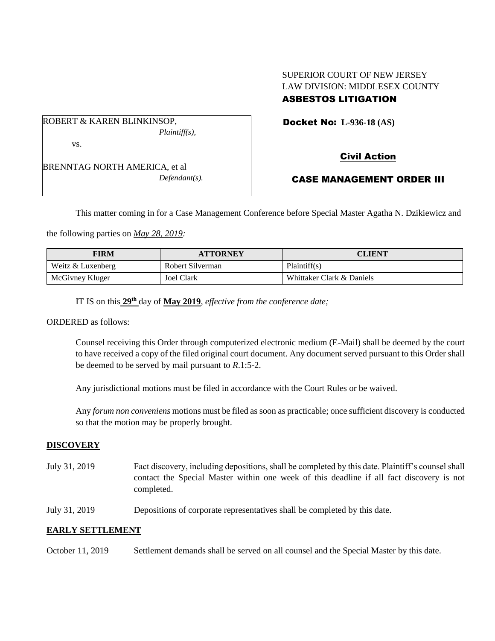# SUPERIOR COURT OF NEW JERSEY LAW DIVISION: MIDDLESEX COUNTY

## ASBESTOS LITIGATION

Docket No: **L-936-18 (AS)** 

ROBERT & KAREN BLINKINSOP, *Plaintiff(s),* vs.

BRENNTAG NORTH AMERICA, et al *Defendant(s).* Civil Action

## CASE MANAGEMENT ORDER III

This matter coming in for a Case Management Conference before Special Master Agatha N. Dzikiewicz and

the following parties on *May 28, 2019:*

| <b>FIRM</b>       | <b>ATTORNEY</b>   | <b>CLIENT</b>             |
|-------------------|-------------------|---------------------------|
| Weitz & Luxenberg | Robert Silverman  | Plaintiff(s)              |
| McGivney Kluger   | <b>Joel Clark</b> | Whittaker Clark & Daniels |

IT IS on this **29th** day of **May 2019**, *effective from the conference date;*

ORDERED as follows:

Counsel receiving this Order through computerized electronic medium (E-Mail) shall be deemed by the court to have received a copy of the filed original court document. Any document served pursuant to this Order shall be deemed to be served by mail pursuant to *R*.1:5-2.

Any jurisdictional motions must be filed in accordance with the Court Rules or be waived.

Any *forum non conveniens* motions must be filed as soon as practicable; once sufficient discovery is conducted so that the motion may be properly brought.

#### **DISCOVERY**

- July 31, 2019 Fact discovery, including depositions, shall be completed by this date. Plaintiff's counsel shall contact the Special Master within one week of this deadline if all fact discovery is not completed.
- July 31, 2019 Depositions of corporate representatives shall be completed by this date.

### **EARLY SETTLEMENT**

October 11, 2019 Settlement demands shall be served on all counsel and the Special Master by this date.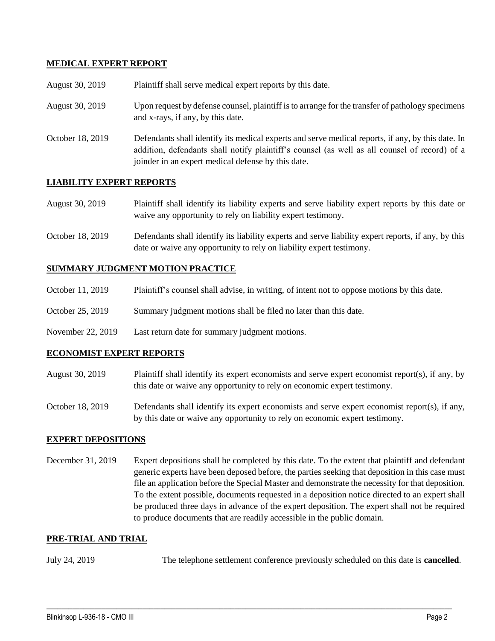### **MEDICAL EXPERT REPORT**

| August 30, 2019  | Plaintiff shall serve medical expert reports by this date.                                                                                                                                                                                               |
|------------------|----------------------------------------------------------------------------------------------------------------------------------------------------------------------------------------------------------------------------------------------------------|
| August 30, 2019  | Upon request by defense counsel, plaintiff is to arrange for the transfer of pathology specimens<br>and x-rays, if any, by this date.                                                                                                                    |
| October 18, 2019 | Defendants shall identify its medical experts and serve medical reports, if any, by this date. In<br>addition, defendants shall notify plaintiff's counsel (as well as all counsel of record) of a<br>joinder in an expert medical defense by this date. |

#### **LIABILITY EXPERT REPORTS**

| <b>August 30, 2019</b> | Plaintiff shall identify its liability experts and serve liability expert reports by this date or |
|------------------------|---------------------------------------------------------------------------------------------------|
|                        | waive any opportunity to rely on liability expert testimony.                                      |

October 18, 2019 Defendants shall identify its liability experts and serve liability expert reports, if any, by this date or waive any opportunity to rely on liability expert testimony.

#### **SUMMARY JUDGMENT MOTION PRACTICE**

| October 11, 2019 | Plaintiff's counsel shall advise, in writing, of intent not to oppose motions by this date. |  |  |
|------------------|---------------------------------------------------------------------------------------------|--|--|
|                  |                                                                                             |  |  |

- October 25, 2019 Summary judgment motions shall be filed no later than this date.
- November 22, 2019 Last return date for summary judgment motions.

#### **ECONOMIST EXPERT REPORTS**

- August 30, 2019 Plaintiff shall identify its expert economists and serve expert economist report(s), if any, by this date or waive any opportunity to rely on economic expert testimony.
- October 18, 2019 Defendants shall identify its expert economists and serve expert economist report(s), if any, by this date or waive any opportunity to rely on economic expert testimony.

#### **EXPERT DEPOSITIONS**

December 31, 2019 Expert depositions shall be completed by this date. To the extent that plaintiff and defendant generic experts have been deposed before, the parties seeking that deposition in this case must file an application before the Special Master and demonstrate the necessity for that deposition. To the extent possible, documents requested in a deposition notice directed to an expert shall be produced three days in advance of the expert deposition. The expert shall not be required to produce documents that are readily accessible in the public domain.

#### **PRE-TRIAL AND TRIAL**

July 24, 2019 The telephone settlement conference previously scheduled on this date is **cancelled**.

 $\_$  , and the set of the set of the set of the set of the set of the set of the set of the set of the set of the set of the set of the set of the set of the set of the set of the set of the set of the set of the set of th